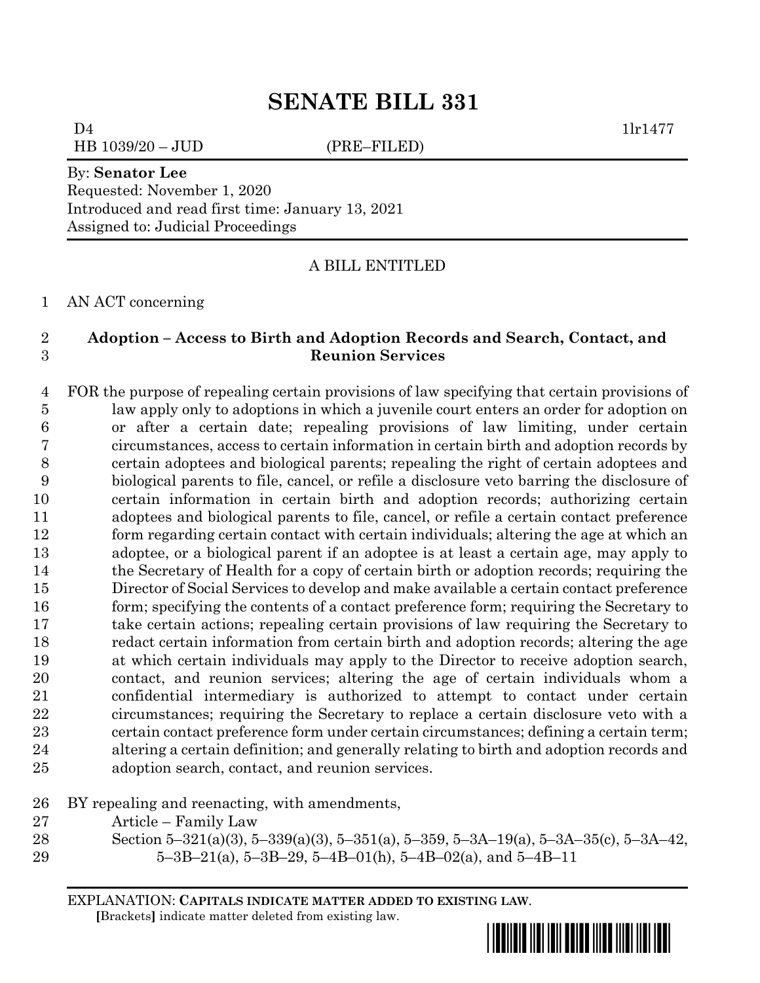$D4$  1lr1477

HB 1039/20 – JUD (PRE–FILED)

By: **Senator Lee** Requested: November 1, 2020 Introduced and read first time: January 13, 2021 Assigned to: Judicial Proceedings

A BILL ENTITLED

AN ACT concerning

## **Adoption – Access to Birth and Adoption Records and Search, Contact, and Reunion Services**

 FOR the purpose of repealing certain provisions of law specifying that certain provisions of law apply only to adoptions in which a juvenile court enters an order for adoption on or after a certain date; repealing provisions of law limiting, under certain circumstances, access to certain information in certain birth and adoption records by certain adoptees and biological parents; repealing the right of certain adoptees and biological parents to file, cancel, or refile a disclosure veto barring the disclosure of certain information in certain birth and adoption records; authorizing certain adoptees and biological parents to file, cancel, or refile a certain contact preference form regarding certain contact with certain individuals; altering the age at which an adoptee, or a biological parent if an adoptee is at least a certain age, may apply to the Secretary of Health for a copy of certain birth or adoption records; requiring the Director of Social Services to develop and make available a certain contact preference 16 form; specifying the contents of a contact preference form; requiring the Secretary to take certain actions; repealing certain provisions of law requiring the Secretary to redact certain information from certain birth and adoption records; altering the age at which certain individuals may apply to the Director to receive adoption search, contact, and reunion services; altering the age of certain individuals whom a confidential intermediary is authorized to attempt to contact under certain circumstances; requiring the Secretary to replace a certain disclosure veto with a certain contact preference form under certain circumstances; defining a certain term; altering a certain definition; and generally relating to birth and adoption records and adoption search, contact, and reunion services.

BY repealing and reenacting, with amendments,

- Article Family Law
- 
- Section 5–321(a)(3), 5–339(a)(3), 5–351(a), 5–359, 5–3A–19(a), 5–3A–35(c), 5–3A–42, 29  $5-3B-21(a)$ ,  $5-3B-29$ ,  $5-4B-01(h)$ ,  $5-4B-02(a)$ , and  $5-4B-11$

EXPLANATION: **CAPITALS INDICATE MATTER ADDED TO EXISTING LAW**.  **[**Brackets**]** indicate matter deleted from existing law.

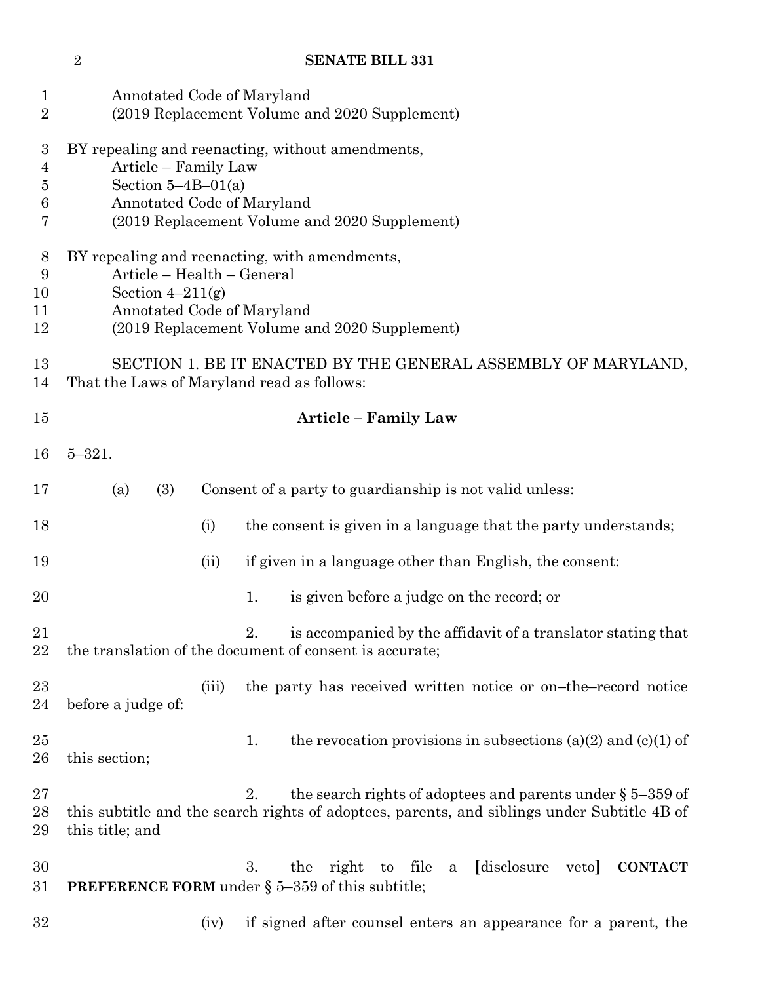Annotated Code of Maryland (2019 Replacement Volume and 2020 Supplement) BY repealing and reenacting, without amendments, Article – Family Law Section 5–4B–01(a) Annotated Code of Maryland (2019 Replacement Volume and 2020 Supplement) BY repealing and reenacting, with amendments, Article – Health – General 10 Section  $4-211(g)$  Annotated Code of Maryland (2019 Replacement Volume and 2020 Supplement) SECTION 1. BE IT ENACTED BY THE GENERAL ASSEMBLY OF MARYLAND, That the Laws of Maryland read as follows: **Article – Family Law** 5–321. (a) (3) Consent of a party to guardianship is not valid unless: 18 (i) the consent is given in a language that the party understands; (ii) if given in a language other than English, the consent: 20 20 1. is given before a judge on the record; or 21 2. is accompanied by the affidavit of a translator stating that the translation of the document of consent is accurate; 23 (iii) the party has received written notice or on–the–record notice before a judge of: 25 1. the revocation provisions in subsections (a)(2) and (c)(1) of this section; 27 2. the search rights of adoptees and parents under § 5–359 of this subtitle and the search rights of adoptees, parents, and siblings under Subtitle 4B of this title; and 3. the right to file a **[**disclosure veto**] CONTACT PREFERENCE FORM** under § 5–359 of this subtitle; (iv) if signed after counsel enters an appearance for a parent, the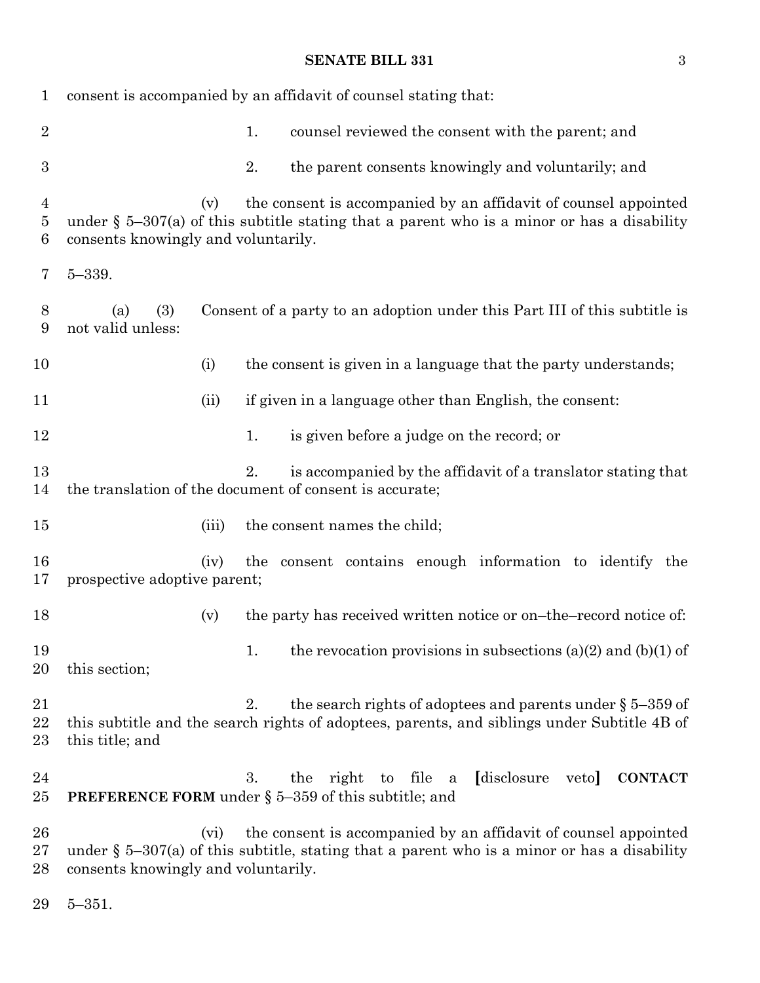| $\mathbf{1}$       |                                                |     | consent is accompanied by an affidavit of counsel stating that:                                                                                                  |
|--------------------|------------------------------------------------|-----|------------------------------------------------------------------------------------------------------------------------------------------------------------------|
| $\overline{2}$     |                                                | 1.  | counsel reviewed the consent with the parent; and                                                                                                                |
| $\boldsymbol{3}$   |                                                | 2.  | the parent consents knowingly and voluntarily; and                                                                                                               |
| 4<br>$\bf{5}$<br>6 | (v)<br>consents knowingly and voluntarily.     |     | the consent is accompanied by an affidavit of counsel appointed<br>under $\S$ 5-307(a) of this subtitle stating that a parent who is a minor or has a disability |
| 7                  | $5 - 339.$                                     |     |                                                                                                                                                                  |
| 8<br>9             | (3)<br>(a)<br>not valid unless:                |     | Consent of a party to an adoption under this Part III of this subtitle is                                                                                        |
| 10                 | (i)                                            |     | the consent is given in a language that the party understands;                                                                                                   |
| 11                 | (ii)                                           |     | if given in a language other than English, the consent:                                                                                                          |
| 12                 |                                                | 1.  | is given before a judge on the record; or                                                                                                                        |
| 13<br>14           |                                                | 2.  | is accompanied by the affidavit of a translator stating that<br>the translation of the document of consent is accurate;                                          |
| $15\,$             | (iii)                                          |     | the consent names the child;                                                                                                                                     |
| 16<br>17           | (iv)<br>prospective adoptive parent;           | the | consent contains enough information to identify the                                                                                                              |
| 18                 | (v)                                            |     | the party has received written notice or on-the-record notice of:                                                                                                |
| 19<br>20           | this section;                                  | 1.  | the revocation provisions in subsections (a)(2) and (b)(1) of                                                                                                    |
| 21<br>22<br>$23\,$ | this title; and                                | 2.  | the search rights of adoptees and parents under $\S 5-359$ of<br>this subtitle and the search rights of adoptees, parents, and siblings under Subtitle 4B of     |
| 24<br>25           |                                                | 3.  | to file<br>[disclosure<br><b>CONTACT</b><br>the<br>right<br>veto<br>a<br><b>PREFERENCE FORM</b> under $\S$ 5-359 of this subtitle; and                           |
| 26<br>$27\,$<br>28 | $(v_i)$<br>consents knowingly and voluntarily. |     | the consent is accompanied by an affidavit of counsel appointed<br>under § $5-307(a)$ of this subtitle, stating that a parent who is a minor or has a disability |

5–351.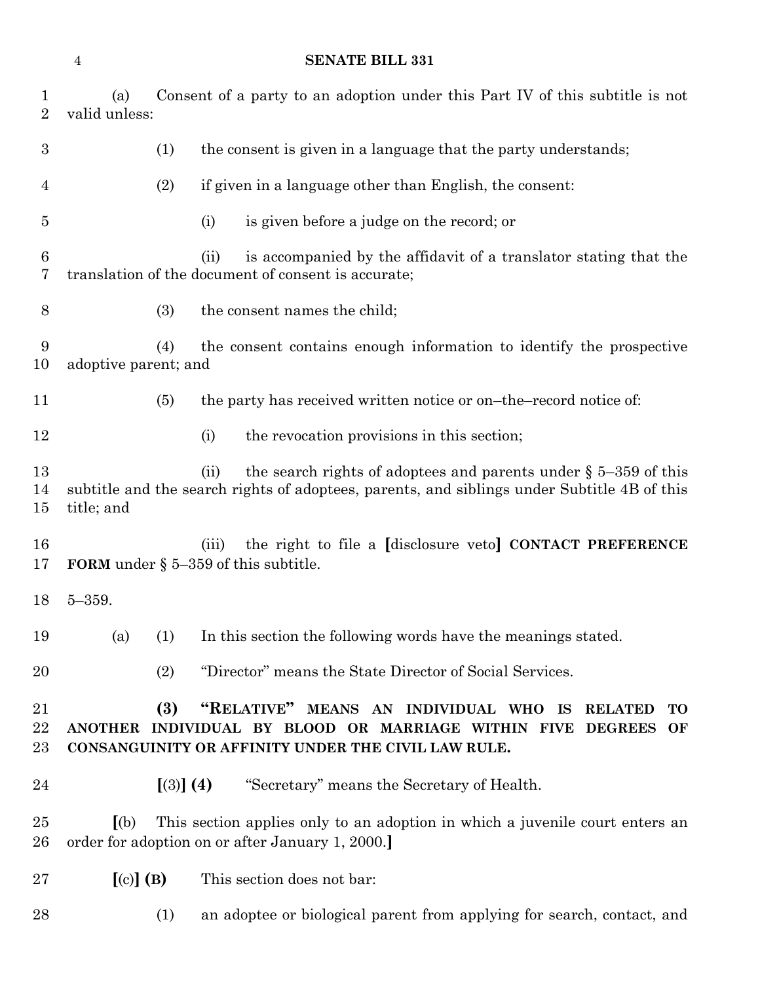| $\mathbf 1$<br>$\overline{2}$ | (a)<br>valid unless: |           | Consent of a party to an adoption under this Part IV of this subtitle is not                                                                                                                     |
|-------------------------------|----------------------|-----------|--------------------------------------------------------------------------------------------------------------------------------------------------------------------------------------------------|
| 3                             |                      | (1)       | the consent is given in a language that the party understands;                                                                                                                                   |
| $\overline{4}$                |                      | (2)       | if given in a language other than English, the consent:                                                                                                                                          |
| 5                             |                      |           | is given before a judge on the record; or<br>(i)                                                                                                                                                 |
| $6\phantom{.}6$<br>7          |                      |           | is accompanied by the affidavit of a translator stating that the<br>(ii)<br>translation of the document of consent is accurate;                                                                  |
| 8                             |                      | (3)       | the consent names the child;                                                                                                                                                                     |
| 9<br>10                       | adoptive parent; and | (4)       | the consent contains enough information to identify the prospective                                                                                                                              |
| 11                            |                      | (5)       | the party has received written notice or on-the-record notice of:                                                                                                                                |
| 12                            |                      |           | the revocation provisions in this section;<br>(i)                                                                                                                                                |
| 13<br>14<br>15                | title; and           |           | the search rights of adoptees and parents under $\S$ 5–359 of this<br>(ii)<br>subtitle and the search rights of adoptees, parents, and siblings under Subtitle 4B of this                        |
| 16<br>17                      |                      |           | the right to file a [disclosure veto] CONTACT PREFERENCE<br>(iii)<br>FORM under $\S$ 5-359 of this subtitle.                                                                                     |
| 18                            | $5 - 359.$           |           |                                                                                                                                                                                                  |
| 19                            |                      |           | (a) (1) In this section the following words have the meanings stated.                                                                                                                            |
| 20                            |                      | (2)       | "Director" means the State Director of Social Services.                                                                                                                                          |
| 21<br>$\bf{22}$<br>23         |                      | (3)       | "RELATIVE" MEANS AN INDIVIDUAL WHO IS<br><b>RELATED</b><br><b>TO</b><br>ANOTHER INDIVIDUAL BY BLOOD OR MARRIAGE WITHIN FIVE DEGREES<br>OF<br>CONSANGUINITY OR AFFINITY UNDER THE CIVIL LAW RULE. |
| $\bf{24}$                     |                      | [(3)] (4) | "Secretary" means the Secretary of Health.                                                                                                                                                       |
| 25<br>26                      | (a)                  |           | This section applies only to an adoption in which a juvenile court enters an<br>order for adoption on or after January 1, 2000.                                                                  |
| 27                            | $[(c)]$ $(B)$        |           | This section does not bar:                                                                                                                                                                       |
| 28                            |                      | (1)       | an adoptee or biological parent from applying for search, contact, and                                                                                                                           |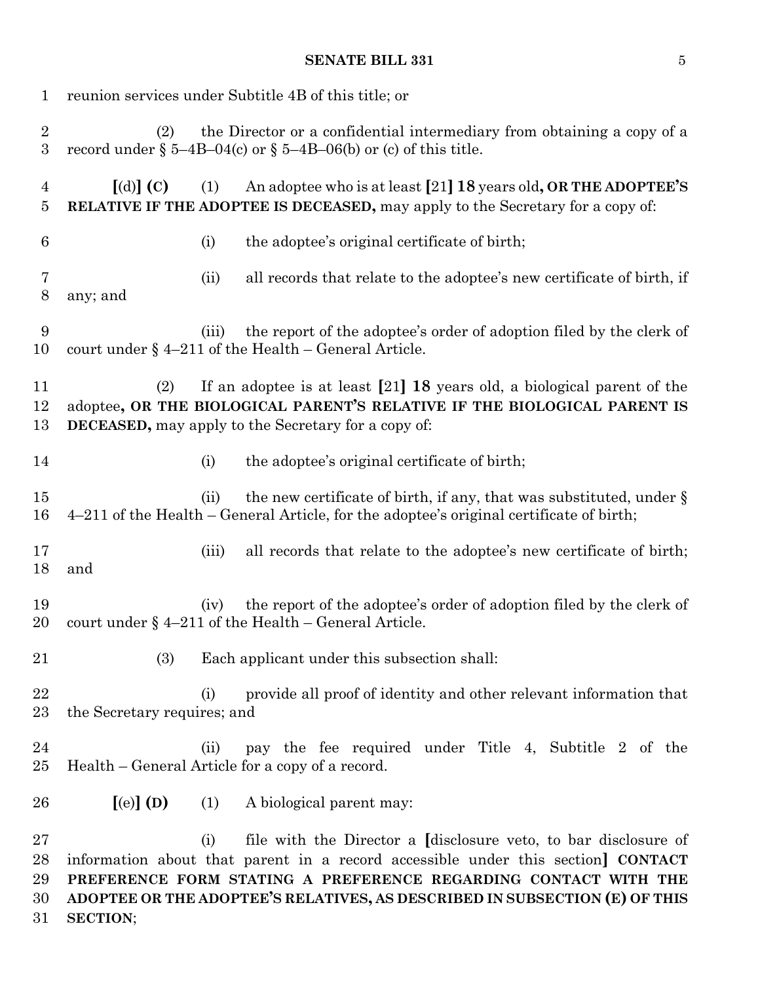| 1                                    | reunion services under Subtitle 4B of this title; or |       |                                                                                                                                                                                                                                                                                                            |  |  |
|--------------------------------------|------------------------------------------------------|-------|------------------------------------------------------------------------------------------------------------------------------------------------------------------------------------------------------------------------------------------------------------------------------------------------------------|--|--|
| $\boldsymbol{2}$<br>$\boldsymbol{3}$ | (2)                                                  |       | the Director or a confidential intermediary from obtaining a copy of a<br>record under $\S$ 5-4B-04(c) or $\S$ 5-4B-06(b) or (c) of this title.                                                                                                                                                            |  |  |
| $\overline{4}$<br>5                  | $\lbrack d \rbrack \rbrack$ (C)                      | (1)   | An adoptee who is at least [21] 18 years old, OR THE ADOPTEE'S<br>RELATIVE IF THE ADOPTEE IS DECEASED, may apply to the Secretary for a copy of:                                                                                                                                                           |  |  |
| $6\phantom{.}6$                      |                                                      | (i)   | the adoptee's original certificate of birth;                                                                                                                                                                                                                                                               |  |  |
| 7<br>$8\,$                           | any; and                                             | (ii)  | all records that relate to the adoptee's new certificate of birth, if                                                                                                                                                                                                                                      |  |  |
| 9<br>10                              |                                                      | (iii) | the report of the adoptee's order of adoption filed by the clerk of<br>court under $\S$ 4-211 of the Health - General Article.                                                                                                                                                                             |  |  |
| 11<br>12<br>13                       | (2)                                                  |       | If an adoptee is at least $[21]$ 18 years old, a biological parent of the<br>adoptee, OR THE BIOLOGICAL PARENT'S RELATIVE IF THE BIOLOGICAL PARENT IS<br><b>DECEASED</b> , may apply to the Secretary for a copy of:                                                                                       |  |  |
| 14                                   |                                                      | (i)   | the adoptee's original certificate of birth;                                                                                                                                                                                                                                                               |  |  |
| 15<br>16                             |                                                      | (ii)  | the new certificate of birth, if any, that was substituted, under §<br>4-211 of the Health - General Article, for the adoptee's original certificate of birth;                                                                                                                                             |  |  |
| 17<br>18                             | and                                                  | (iii) | all records that relate to the adoptee's new certificate of birth;                                                                                                                                                                                                                                         |  |  |
| 19<br>20                             |                                                      | (iv)  | the report of the adoptee's order of adoption filed by the clerk of<br>court under $\S$ 4-211 of the Health - General Article.                                                                                                                                                                             |  |  |
| 21                                   | (3)                                                  |       | Each applicant under this subsection shall:                                                                                                                                                                                                                                                                |  |  |
| $\bf{22}$<br>23                      | the Secretary requires; and                          | (i)   | provide all proof of identity and other relevant information that                                                                                                                                                                                                                                          |  |  |
| $\bf{24}$<br>25                      |                                                      | (ii)  | pay the fee required under Title 4, Subtitle 2 of the<br>Health – General Article for a copy of a record.                                                                                                                                                                                                  |  |  |
| 26                                   | $[(e)]$ (D)                                          | (1)   | A biological parent may:                                                                                                                                                                                                                                                                                   |  |  |
| 27<br>28<br>29<br>30<br>31           | <b>SECTION;</b>                                      | (i)   | file with the Director a <i>disclosure</i> veto, to bar disclosure of<br>information about that parent in a record accessible under this section] CONTACT<br>PREFERENCE FORM STATING A PREFERENCE REGARDING CONTACT WITH THE<br>ADOPTEE OR THE ADOPTEE'S RELATIVES, AS DESCRIBED IN SUBSECTION (E) OF THIS |  |  |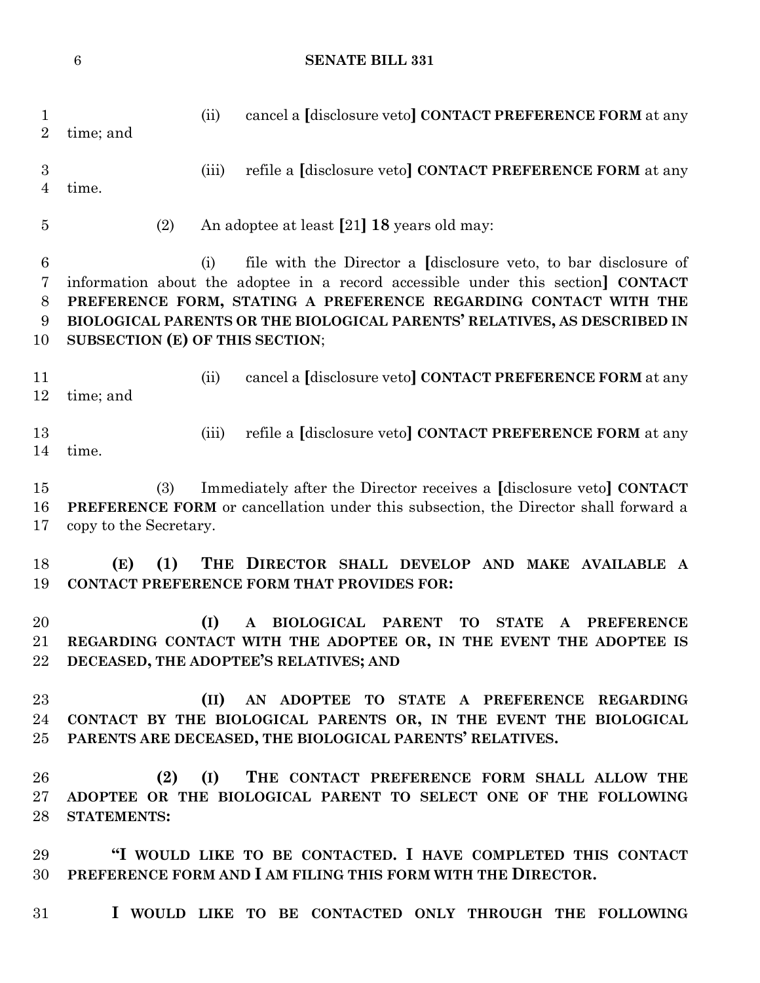(ii) cancel a **[**disclosure veto**] CONTACT PREFERENCE FORM** at any time; and (iii) refile a **[**disclosure veto**] CONTACT PREFERENCE FORM** at any time. (2) An adoptee at least **[**21**] 18** years old may: (i) file with the Director a **[**disclosure veto, to bar disclosure of information about the adoptee in a record accessible under this section**] CONTACT PREFERENCE FORM, STATING A PREFERENCE REGARDING CONTACT WITH THE BIOLOGICAL PARENTS OR THE BIOLOGICAL PARENTS' RELATIVES, AS DESCRIBED IN SUBSECTION (E) OF THIS SECTION**; (ii) cancel a **[**disclosure veto**] CONTACT PREFERENCE FORM** at any time; and (iii) refile a **[**disclosure veto**] CONTACT PREFERENCE FORM** at any time. (3) Immediately after the Director receives a **[**disclosure veto**] CONTACT PREFERENCE FORM** or cancellation under this subsection, the Director shall forward a copy to the Secretary. **(E) (1) THE DIRECTOR SHALL DEVELOP AND MAKE AVAILABLE A CONTACT PREFERENCE FORM THAT PROVIDES FOR: (I) A BIOLOGICAL PARENT TO STATE A PREFERENCE REGARDING CONTACT WITH THE ADOPTEE OR, IN THE EVENT THE ADOPTEE IS DECEASED, THE ADOPTEE'S RELATIVES; AND (II) AN ADOPTEE TO STATE A PREFERENCE REGARDING CONTACT BY THE BIOLOGICAL PARENTS OR, IN THE EVENT THE BIOLOGICAL PARENTS ARE DECEASED, THE BIOLOGICAL PARENTS' RELATIVES. (2) (I) THE CONTACT PREFERENCE FORM SHALL ALLOW THE ADOPTEE OR THE BIOLOGICAL PARENT TO SELECT ONE OF THE FOLLOWING STATEMENTS: "I WOULD LIKE TO BE CONTACTED. I HAVE COMPLETED THIS CONTACT PREFERENCE FORM AND I AM FILING THIS FORM WITH THE DIRECTOR. I WOULD LIKE TO BE CONTACTED ONLY THROUGH THE FOLLOWING**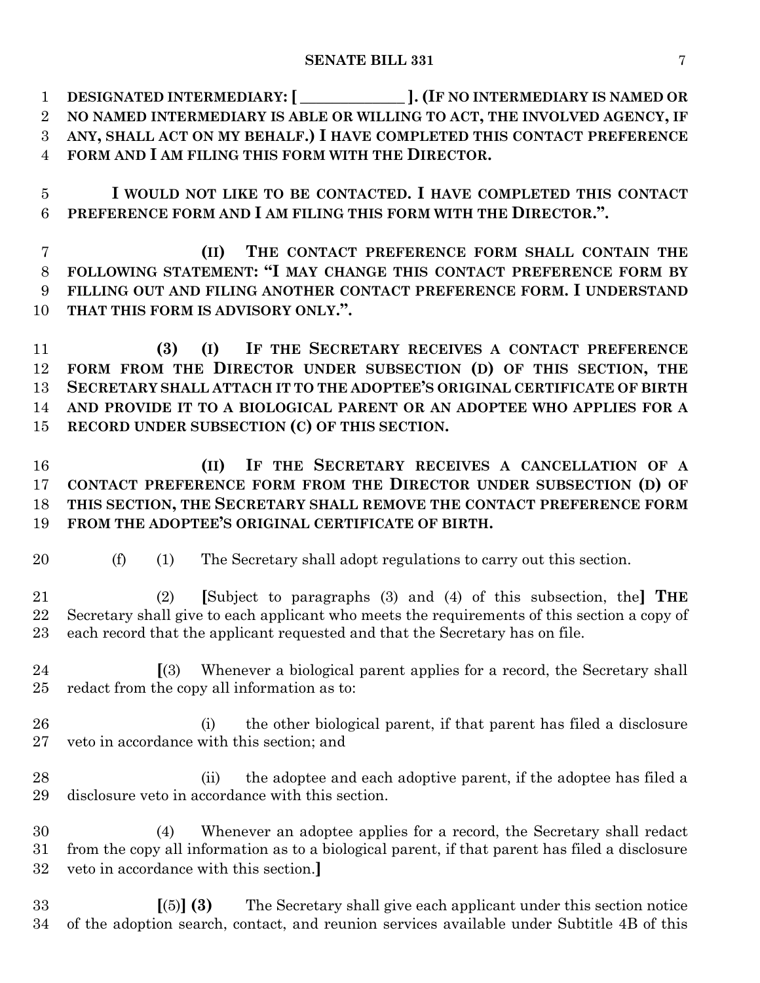**DESIGNATED INTERMEDIARY:[ \_\_\_\_\_\_\_\_\_\_\_\_\_ ].(IF NO INTERMEDIARY IS NAMED OR NO NAMED INTERMEDIARY IS ABLE OR WILLING TO ACT, THE INVOLVED AGENCY, IF ANY, SHALL ACT ON MY BEHALF.) I HAVE COMPLETED THIS CONTACT PREFERENCE FORM AND I AM FILING THIS FORM WITH THE DIRECTOR.**

 **I WOULD NOT LIKE TO BE CONTACTED. I HAVE COMPLETED THIS CONTACT PREFERENCE FORM AND I AM FILING THIS FORM WITH THE DIRECTOR.".**

 **(II) THE CONTACT PREFERENCE FORM SHALL CONTAIN THE FOLLOWING STATEMENT: "I MAY CHANGE THIS CONTACT PREFERENCE FORM BY FILLING OUT AND FILING ANOTHER CONTACT PREFERENCE FORM. I UNDERSTAND THAT THIS FORM IS ADVISORY ONLY.".**

 **(3) (I) IF THE SECRETARY RECEIVES A CONTACT PREFERENCE FORM FROM THE DIRECTOR UNDER SUBSECTION (D) OF THIS SECTION, THE SECRETARY SHALL ATTACH IT TO THE ADOPTEE'S ORIGINAL CERTIFICATE OF BIRTH AND PROVIDE IT TO A BIOLOGICAL PARENT OR AN ADOPTEE WHO APPLIES FOR A RECORD UNDER SUBSECTION (C) OF THIS SECTION.**

 **(II) IF THE SECRETARY RECEIVES A CANCELLATION OF A CONTACT PREFERENCE FORM FROM THE DIRECTOR UNDER SUBSECTION (D) OF THIS SECTION, THE SECRETARY SHALL REMOVE THE CONTACT PREFERENCE FORM FROM THE ADOPTEE'S ORIGINAL CERTIFICATE OF BIRTH.**

(f) (1) The Secretary shall adopt regulations to carry out this section.

 (2) **[**Subject to paragraphs (3) and (4) of this subsection, the**] THE** Secretary shall give to each applicant who meets the requirements of this section a copy of each record that the applicant requested and that the Secretary has on file.

 **[**(3) Whenever a biological parent applies for a record, the Secretary shall redact from the copy all information as to:

- (i) the other biological parent, if that parent has filed a disclosure veto in accordance with this section; and
- (ii) the adoptee and each adoptive parent, if the adoptee has filed a disclosure veto in accordance with this section.

 (4) Whenever an adoptee applies for a record, the Secretary shall redact from the copy all information as to a biological parent, if that parent has filed a disclosure veto in accordance with this section.**]**

 **[**(5)**] (3)** The Secretary shall give each applicant under this section notice of the adoption search, contact, and reunion services available under Subtitle 4B of this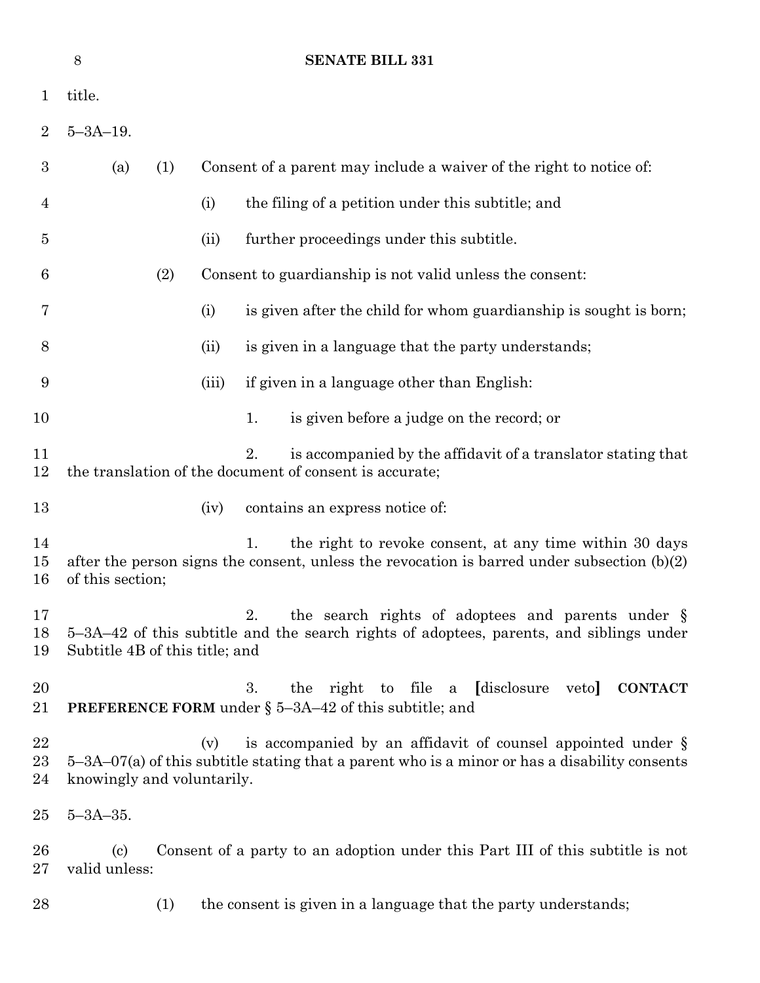|                     | 8                                           |       | <b>SENATE BILL 331</b>                                                                                                                                         |
|---------------------|---------------------------------------------|-------|----------------------------------------------------------------------------------------------------------------------------------------------------------------|
| $\mathbf{1}$        | title.                                      |       |                                                                                                                                                                |
| $\overline{2}$      | $5 - 3A - 19$ .                             |       |                                                                                                                                                                |
| $\boldsymbol{3}$    | (a)<br>(1)                                  |       | Consent of a parent may include a waiver of the right to notice of:                                                                                            |
| 4                   |                                             | (i)   | the filing of a petition under this subtitle; and                                                                                                              |
| $\overline{5}$      |                                             | (ii)  | further proceedings under this subtitle.                                                                                                                       |
| 6                   | (2)                                         |       | Consent to guardianship is not valid unless the consent:                                                                                                       |
| 7                   |                                             | (i)   | is given after the child for whom guardianship is sought is born;                                                                                              |
| 8                   |                                             | (ii)  | is given in a language that the party understands;                                                                                                             |
| 9                   |                                             | (iii) | if given in a language other than English:                                                                                                                     |
| 10                  |                                             |       | 1.<br>is given before a judge on the record; or                                                                                                                |
| 11<br>12            |                                             |       | 2.<br>is accompanied by the affidavit of a translator stating that<br>the translation of the document of consent is accurate;                                  |
| 13                  |                                             | (iv)  | contains an express notice of:                                                                                                                                 |
| 14<br>15<br>16      | of this section;                            |       | 1.<br>the right to revoke consent, at any time within 30 days<br>after the person signs the consent, unless the revocation is barred under subsection $(b)(2)$ |
| 17<br>18<br>19      | Subtitle 4B of this title; and              |       | the search rights of adoptees and parents under §<br>2.<br>5–3A–42 of this subtitle and the search rights of adoptees, parents, and siblings under             |
| 20<br>21            |                                             |       | right to file a [disclosure<br><b>CONTACT</b><br>3.<br>the<br>veto<br>PREFERENCE FORM under § 5-3A-42 of this subtitle; and                                    |
| 22<br>$^{23}$<br>24 | knowingly and voluntarily.                  | (v)   | is accompanied by an affidavit of counsel appointed under §<br>$5-3A-07(a)$ of this subtitle stating that a parent who is a minor or has a disability consents |
| $25\,$              | $5 - 3A - 35.$                              |       |                                                                                                                                                                |
| $26\,$<br>$27\,$    | $\left( \mathrm{c}\right)$<br>valid unless: |       | Consent of a party to an adoption under this Part III of this subtitle is not                                                                                  |
| 28                  | (1)                                         |       | the consent is given in a language that the party understands;                                                                                                 |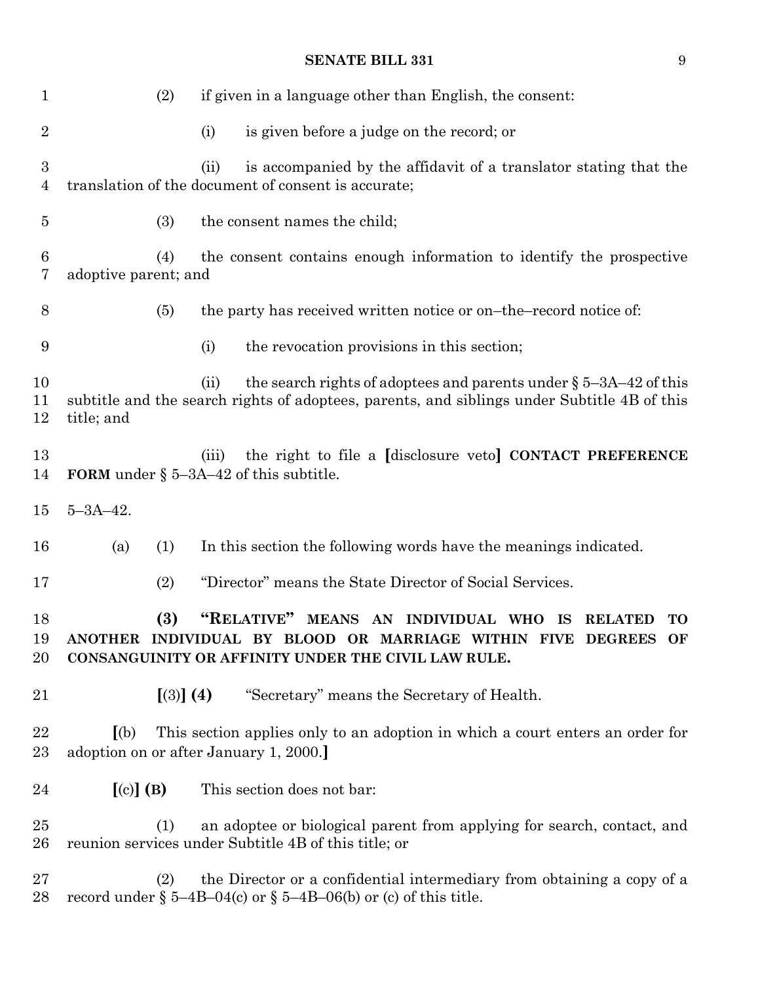| $\mathbf 1$    | (2)                         | if given in a language other than English, the consent:                                                                                                                                             |
|----------------|-----------------------------|-----------------------------------------------------------------------------------------------------------------------------------------------------------------------------------------------------|
| $\overline{2}$ |                             | is given before a judge on the record; or<br>(i)                                                                                                                                                    |
| 3<br>4         |                             | is accompanied by the affidavit of a translator stating that the<br>(ii)<br>translation of the document of consent is accurate;                                                                     |
| $\overline{5}$ | (3)                         | the consent names the child;                                                                                                                                                                        |
| 6<br>7         | (4)<br>adoptive parent; and | the consent contains enough information to identify the prospective                                                                                                                                 |
| 8              | (5)                         | the party has received written notice or on-the-record notice of:                                                                                                                                   |
| 9              |                             | (i)<br>the revocation provisions in this section;                                                                                                                                                   |
| 10<br>11<br>12 | title; and                  | the search rights of adoptees and parents under $\S$ 5-3A-42 of this<br>(ii)<br>subtitle and the search rights of adoptees, parents, and siblings under Subtitle 4B of this                         |
| 13<br>14       |                             | the right to file a [disclosure veto] CONTACT PREFERENCE<br>(iii)<br><b>FORM</b> under $\S$ 5-3A-42 of this subtitle.                                                                               |
| 15             | $5 - 3A - 42$ .             |                                                                                                                                                                                                     |
| 16             | (a)<br>(1)                  | In this section the following words have the meanings indicated.                                                                                                                                    |
| 17             | (2)                         | "Director" means the State Director of Social Services.                                                                                                                                             |
| 18<br>19<br>20 | (3)                         | "RELATIVE" MEANS AN INDIVIDUAL WHO<br><b>IS</b><br><b>RELATED</b><br>TO<br>ANOTHER INDIVIDUAL BY BLOOD OR MARRIAGE WITHIN FIVE DEGREES<br>OF<br>CONSANGUINITY OR AFFINITY UNDER THE CIVIL LAW RULE. |
| 21             | [(3)] (4)                   | "Secretary" means the Secretary of Health.                                                                                                                                                          |
| 22<br>$23\,$   | (a)                         | This section applies only to an adoption in which a court enters an order for<br>adoption on or after January 1, 2000.                                                                              |
| 24             | $[(c)]$ (B)                 | This section does not bar:                                                                                                                                                                          |
| 25<br>$26\,$   | (1)                         | an adoptee or biological parent from applying for search, contact, and<br>reunion services under Subtitle 4B of this title; or                                                                      |
| $27\,$<br>28   | (2)                         | the Director or a confidential intermediary from obtaining a copy of a<br>record under $\S$ 5-4B-04(c) or $\S$ 5-4B-06(b) or (c) of this title.                                                     |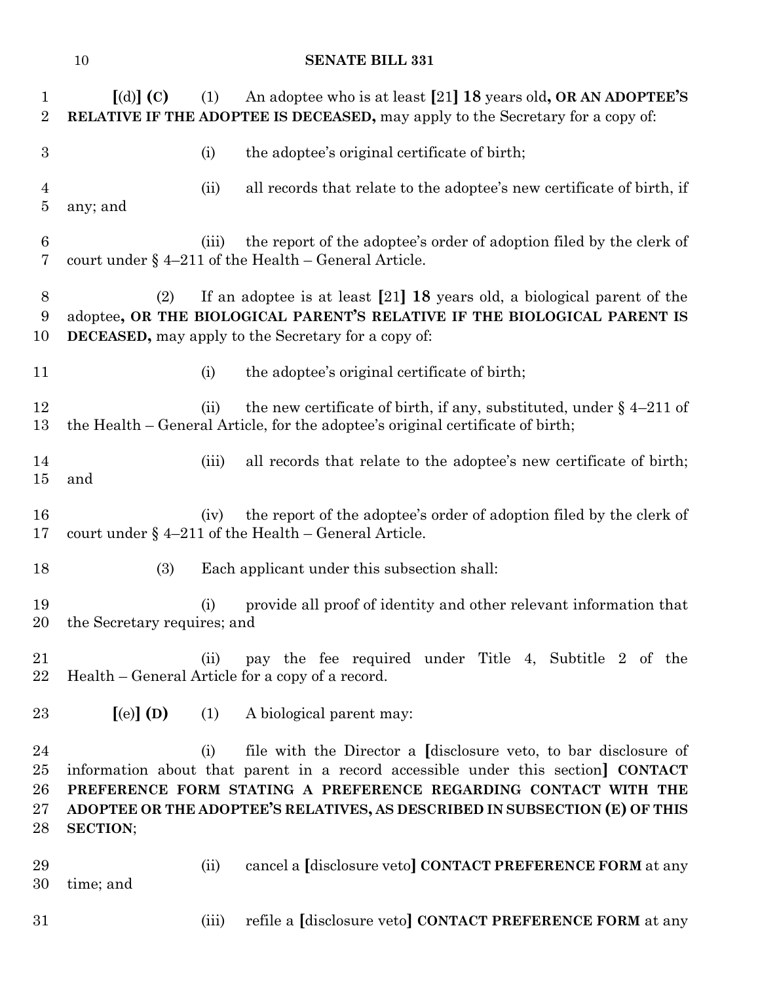| 1<br>$\overline{2}$              | $\lceil$ (d) $\rceil$ (C)   | (1)   | An adoptee who is at least [21] 18 years old, OR AN ADOPTEE'S<br>RELATIVE IF THE ADOPTEE IS DECEASED, may apply to the Secretary for a copy of:                                                                                                                                                                  |
|----------------------------------|-----------------------------|-------|------------------------------------------------------------------------------------------------------------------------------------------------------------------------------------------------------------------------------------------------------------------------------------------------------------------|
| 3                                |                             | (i)   | the adoptee's original certificate of birth;                                                                                                                                                                                                                                                                     |
| $\overline{4}$<br>$\overline{5}$ | any; and                    | (ii)  | all records that relate to the adoptee's new certificate of birth, if                                                                                                                                                                                                                                            |
| $\boldsymbol{6}$<br>7            |                             | (iii) | the report of the adoptee's order of adoption filed by the clerk of<br>court under $\S$ 4-211 of the Health - General Article.                                                                                                                                                                                   |
| 8<br>9<br>10                     | (2)                         |       | If an adoptee is at least $[21]$ 18 years old, a biological parent of the<br>adoptee, OR THE BIOLOGICAL PARENT'S RELATIVE IF THE BIOLOGICAL PARENT IS<br><b>DECEASED</b> , may apply to the Secretary for a copy of:                                                                                             |
| 11                               |                             | (i)   | the adoptee's original certificate of birth;                                                                                                                                                                                                                                                                     |
| 12<br>13                         |                             | (ii)  | the new certificate of birth, if any, substituted, under $\S$ 4-211 of<br>the Health - General Article, for the adoptee's original certificate of birth;                                                                                                                                                         |
| 14<br>$15\,$                     | and                         | (iii) | all records that relate to the adoptee's new certificate of birth;                                                                                                                                                                                                                                               |
| 16<br>17                         |                             | (iv)  | the report of the adoptee's order of adoption filed by the clerk of<br>court under $\S$ 4-211 of the Health - General Article.                                                                                                                                                                                   |
| 18                               | (3)                         |       | Each applicant under this subsection shall:                                                                                                                                                                                                                                                                      |
| 19<br>20                         | the Secretary requires; and | (i)   | provide all proof of identity and other relevant information that                                                                                                                                                                                                                                                |
| 21<br>22                         |                             | (ii)  | pay the fee required under Title 4, Subtitle 2 of the<br>Health – General Article for a copy of a record.                                                                                                                                                                                                        |
| 23                               | $[$ (e) $]$ (D)             | (1)   | A biological parent may:                                                                                                                                                                                                                                                                                         |
| 24<br>25<br>26<br>$27\,$<br>28   | <b>SECTION;</b>             | (i)   | file with the Director a <i>disclosure</i> veto, to bar disclosure of<br>information about that parent in a record accessible under this section <b>CONTACT</b><br>PREFERENCE FORM STATING A PREFERENCE REGARDING CONTACT WITH THE<br>ADOPTEE OR THE ADOPTEE'S RELATIVES, AS DESCRIBED IN SUBSECTION (E) OF THIS |
| 29<br>30                         | time; and                   | (ii)  | cancel a [disclosure veto] CONTACT PREFERENCE FORM at any                                                                                                                                                                                                                                                        |
| 31                               |                             | (iii) | refile a [disclosure veto] CONTACT PREFERENCE FORM at any                                                                                                                                                                                                                                                        |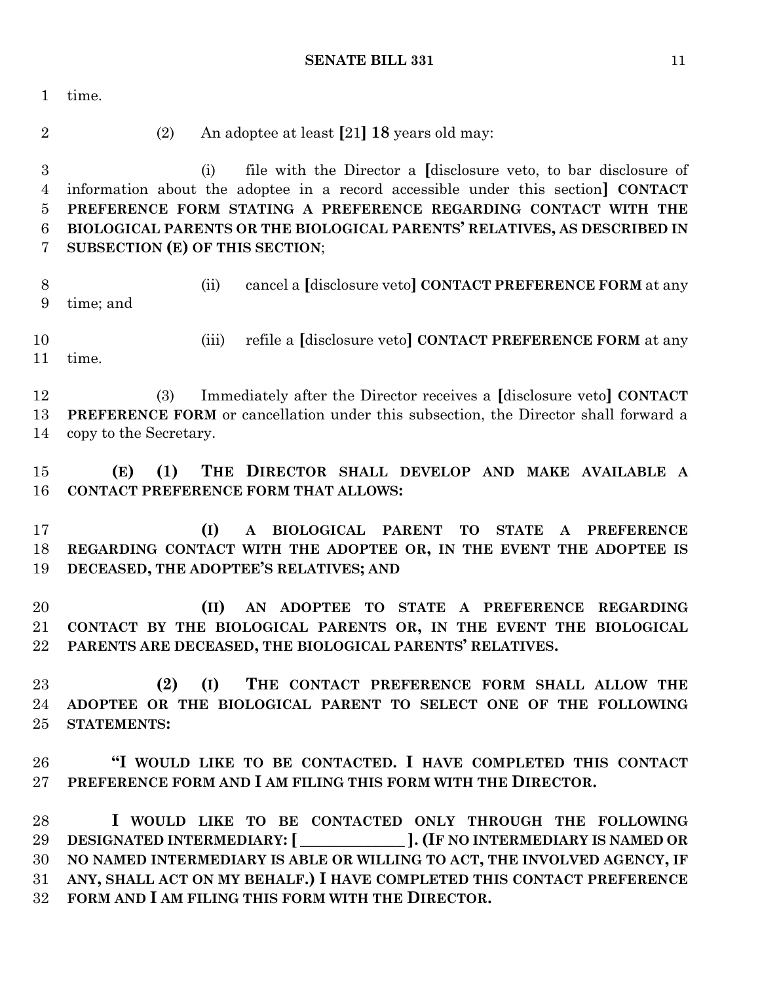time. (2) An adoptee at least **[**21**] 18** years old may: (i) file with the Director a **[**disclosure veto, to bar disclosure of information about the adoptee in a record accessible under this section**] CONTACT PREFERENCE FORM STATING A PREFERENCE REGARDING CONTACT WITH THE BIOLOGICAL PARENTS OR THE BIOLOGICAL PARENTS' RELATIVES, AS DESCRIBED IN SUBSECTION (E) OF THIS SECTION**; (ii) cancel a **[**disclosure veto**] CONTACT PREFERENCE FORM** at any time; and (iii) refile a **[**disclosure veto**] CONTACT PREFERENCE FORM** at any time. (3) Immediately after the Director receives a **[**disclosure veto**] CONTACT PREFERENCE FORM** or cancellation under this subsection, the Director shall forward a copy to the Secretary. **(E) (1) THE DIRECTOR SHALL DEVELOP AND MAKE AVAILABLE A CONTACT PREFERENCE FORM THAT ALLOWS: (I) A BIOLOGICAL PARENT TO STATE A PREFERENCE REGARDING CONTACT WITH THE ADOPTEE OR, IN THE EVENT THE ADOPTEE IS DECEASED, THE ADOPTEE'S RELATIVES; AND (II) AN ADOPTEE TO STATE A PREFERENCE REGARDING CONTACT BY THE BIOLOGICAL PARENTS OR, IN THE EVENT THE BIOLOGICAL PARENTS ARE DECEASED, THE BIOLOGICAL PARENTS' RELATIVES. (2) (I) THE CONTACT PREFERENCE FORM SHALL ALLOW THE ADOPTEE OR THE BIOLOGICAL PARENT TO SELECT ONE OF THE FOLLOWING STATEMENTS: "I WOULD LIKE TO BE CONTACTED. I HAVE COMPLETED THIS CONTACT PREFERENCE FORM AND I AM FILING THIS FORM WITH THE DIRECTOR. I WOULD LIKE TO BE CONTACTED ONLY THROUGH THE FOLLOWING DESIGNATED INTERMEDIARY:[ \_\_\_\_\_\_\_\_\_\_\_\_\_ ].(IF NO INTERMEDIARY IS NAMED OR NO NAMED INTERMEDIARY IS ABLE OR WILLING TO ACT, THE INVOLVED AGENCY, IF ANY, SHALL ACT ON MY BEHALF.) I HAVE COMPLETED THIS CONTACT PREFERENCE FORM AND I AM FILING THIS FORM WITH THE DIRECTOR.**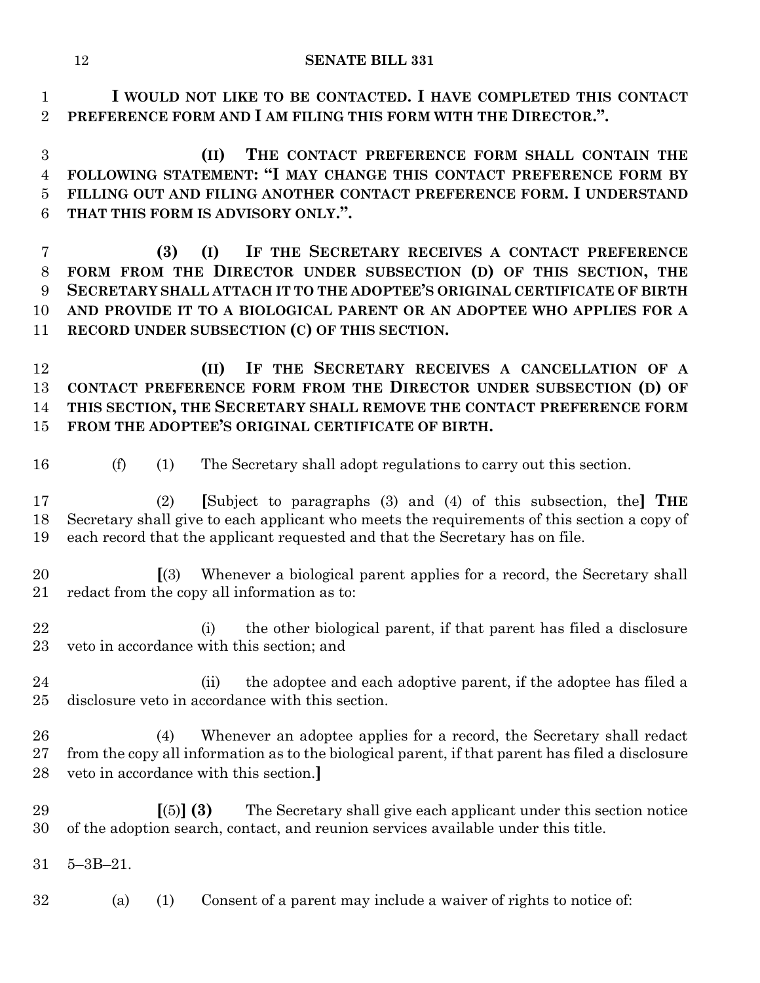**I WOULD NOT LIKE TO BE CONTACTED. I HAVE COMPLETED THIS CONTACT PREFERENCE FORM AND I AM FILING THIS FORM WITH THE DIRECTOR.".**

 **(II) THE CONTACT PREFERENCE FORM SHALL CONTAIN THE FOLLOWING STATEMENT: "I MAY CHANGE THIS CONTACT PREFERENCE FORM BY FILLING OUT AND FILING ANOTHER CONTACT PREFERENCE FORM. I UNDERSTAND THAT THIS FORM IS ADVISORY ONLY.".**

 **(3) (I) IF THE SECRETARY RECEIVES A CONTACT PREFERENCE FORM FROM THE DIRECTOR UNDER SUBSECTION (D) OF THIS SECTION, THE SECRETARY SHALL ATTACH IT TO THE ADOPTEE'S ORIGINAL CERTIFICATE OF BIRTH AND PROVIDE IT TO A BIOLOGICAL PARENT OR AN ADOPTEE WHO APPLIES FOR A RECORD UNDER SUBSECTION (C) OF THIS SECTION.**

 **(II) IF THE SECRETARY RECEIVES A CANCELLATION OF A CONTACT PREFERENCE FORM FROM THE DIRECTOR UNDER SUBSECTION (D) OF THIS SECTION, THE SECRETARY SHALL REMOVE THE CONTACT PREFERENCE FORM FROM THE ADOPTEE'S ORIGINAL CERTIFICATE OF BIRTH.**

- 
- (f) (1) The Secretary shall adopt regulations to carry out this section.

 (2) **[**Subject to paragraphs (3) and (4) of this subsection, the**] THE** Secretary shall give to each applicant who meets the requirements of this section a copy of each record that the applicant requested and that the Secretary has on file.

 **[**(3) Whenever a biological parent applies for a record, the Secretary shall redact from the copy all information as to:

 (i) the other biological parent, if that parent has filed a disclosure veto in accordance with this section; and

 (ii) the adoptee and each adoptive parent, if the adoptee has filed a disclosure veto in accordance with this section.

 (4) Whenever an adoptee applies for a record, the Secretary shall redact from the copy all information as to the biological parent, if that parent has filed a disclosure veto in accordance with this section.**]**

 **[**(5)**] (3)** The Secretary shall give each applicant under this section notice of the adoption search, contact, and reunion services available under this title.

5–3B–21.

(a) (1) Consent of a parent may include a waiver of rights to notice of: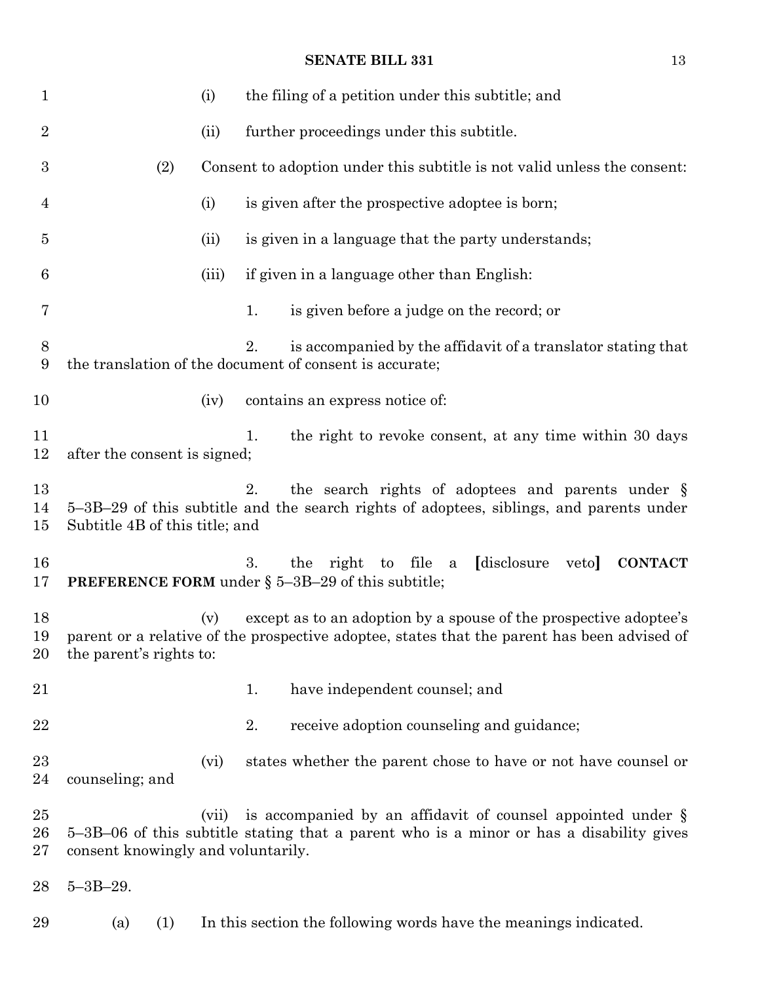| $\mathbf{1}$       |                                    |     | (i)   |    | the filing of a petition under this subtitle; and                                                                                                                |
|--------------------|------------------------------------|-----|-------|----|------------------------------------------------------------------------------------------------------------------------------------------------------------------|
| $\overline{2}$     |                                    |     | (ii)  |    | further proceedings under this subtitle.                                                                                                                         |
| $\boldsymbol{3}$   |                                    | (2) |       |    | Consent to adoption under this subtitle is not valid unless the consent:                                                                                         |
| 4                  |                                    |     | (i)   |    | is given after the prospective adoptee is born;                                                                                                                  |
| $\overline{5}$     |                                    |     | (ii)  |    | is given in a language that the party understands;                                                                                                               |
| 6                  |                                    |     | (iii) |    | if given in a language other than English:                                                                                                                       |
| 7                  |                                    |     |       | 1. | is given before a judge on the record; or                                                                                                                        |
| 8<br>9             |                                    |     |       | 2. | is accompanied by the affidavit of a translator stating that<br>the translation of the document of consent is accurate;                                          |
| 10                 |                                    |     | (iv)  |    | contains an express notice of:                                                                                                                                   |
| 11<br>12           | after the consent is signed;       |     |       | 1. | the right to revoke consent, at any time within 30 days                                                                                                          |
| 13<br>14<br>15     | Subtitle 4B of this title; and     |     |       | 2. | the search rights of adoptees and parents under §<br>5–3B–29 of this subtitle and the search rights of adoptees, siblings, and parents under                     |
| 16<br>17           |                                    |     |       | 3. | the right to file a<br><i>disclosure</i><br>veto<br><b>CONTACT</b><br><b>PREFERENCE FORM</b> under $\S$ 5-3B-29 of this subtitle;                                |
| 18<br>19<br>20     | the parent's rights to:            |     | (v)   |    | except as to an adoption by a spouse of the prospective adoptee's<br>parent or a relative of the prospective adoptee, states that the parent has been advised of |
| 21                 |                                    |     |       | 1. | have independent counsel; and                                                                                                                                    |
| 22                 |                                    |     |       | 2. | receive adoption counseling and guidance;                                                                                                                        |
| 23<br>24           | counseling; and                    |     | (vi)  |    | states whether the parent chose to have or not have counsel or                                                                                                   |
| 25<br>26<br>$27\,$ | consent knowingly and voluntarily. |     | (vii) |    | is accompanied by an affidavit of counsel appointed under $\S$<br>5–3B–06 of this subtitle stating that a parent who is a minor or has a disability gives        |
| 28                 | $5 - 3B - 29.$                     |     |       |    |                                                                                                                                                                  |
| 29                 | (a)                                | (1) |       |    | In this section the following words have the meanings indicated.                                                                                                 |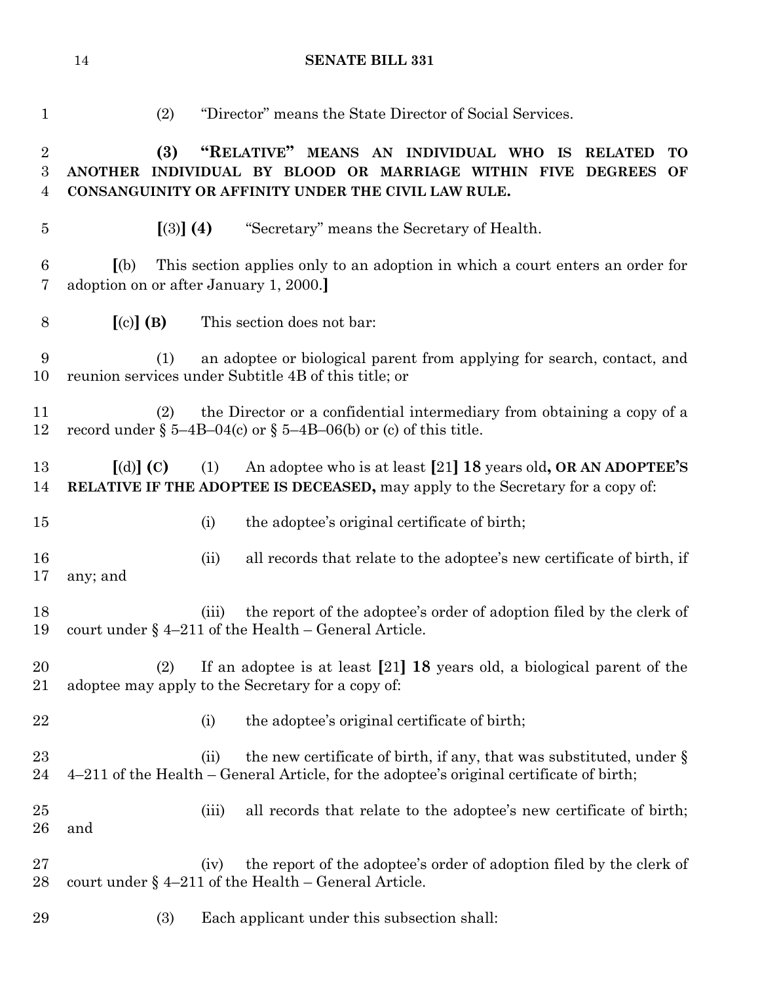| 1                                       | (2)                                          |       | "Director" means the State Director of Social Services.                                                                                                                                   |
|-----------------------------------------|----------------------------------------------|-------|-------------------------------------------------------------------------------------------------------------------------------------------------------------------------------------------|
| $\overline{2}$<br>$\boldsymbol{3}$<br>4 | (3)                                          |       | "RELATIVE" MEANS AN INDIVIDUAL WHO IS<br><b>RELATED</b><br>TO<br>ANOTHER INDIVIDUAL BY BLOOD OR MARRIAGE WITHIN FIVE DEGREES<br>OF<br>CONSANGUINITY OR AFFINITY UNDER THE CIVIL LAW RULE. |
| $\bf 5$                                 | $(3)$ (4)                                    |       | "Secretary" means the Secretary of Health.                                                                                                                                                |
| 6<br>7                                  | (a)<br>adoption on or after January 1, 2000. |       | This section applies only to an adoption in which a court enters an order for                                                                                                             |
| 8                                       | $[(c)]$ (B)                                  |       | This section does not bar:                                                                                                                                                                |
| 9<br>10                                 | (1)                                          |       | an adoptee or biological parent from applying for search, contact, and<br>reunion services under Subtitle 4B of this title; or                                                            |
| 11<br>12                                | (2)                                          |       | the Director or a confidential intermediary from obtaining a copy of a<br>record under $\S$ 5-4B-04(c) or $\S$ 5-4B-06(b) or (c) of this title.                                           |
| 13<br>14                                | $\lbrack d \rbrack \rbrack$ (C)              | (1)   | An adoptee who is at least [21] 18 years old, OR AN ADOPTEE'S<br><b>RELATIVE IF THE ADOPTEE IS DECEASED, may apply to the Secretary for a copy of:</b>                                    |
| 15                                      |                                              | (i)   | the adoptee's original certificate of birth;                                                                                                                                              |
| 16<br>17                                | any; and                                     | (ii)  | all records that relate to the adoptee's new certificate of birth, if                                                                                                                     |
| 18<br>19                                |                                              | (iii) | the report of the adoptee's order of adoption filed by the clerk of<br>court under $\S$ 4-211 of the Health - General Article.                                                            |
| 20<br>21                                | (2)                                          |       | If an adoptee is at least $[21]$ 18 years old, a biological parent of the<br>adoptee may apply to the Secretary for a copy of:                                                            |
| 22                                      |                                              | (i)   | the adoptee's original certificate of birth;                                                                                                                                              |
| 23<br>24                                |                                              | (ii)  | the new certificate of birth, if any, that was substituted, under $\S$<br>4–211 of the Health – General Article, for the adoptee's original certificate of birth;                         |
| 25<br>26                                | and                                          | (iii) | all records that relate to the adoptee's new certificate of birth;                                                                                                                        |
| 27<br>28                                |                                              | (iv)  | the report of the adoptee's order of adoption filed by the clerk of<br>court under $\S$ 4–211 of the Health – General Article.                                                            |
| 29                                      | (3)                                          |       | Each applicant under this subsection shall:                                                                                                                                               |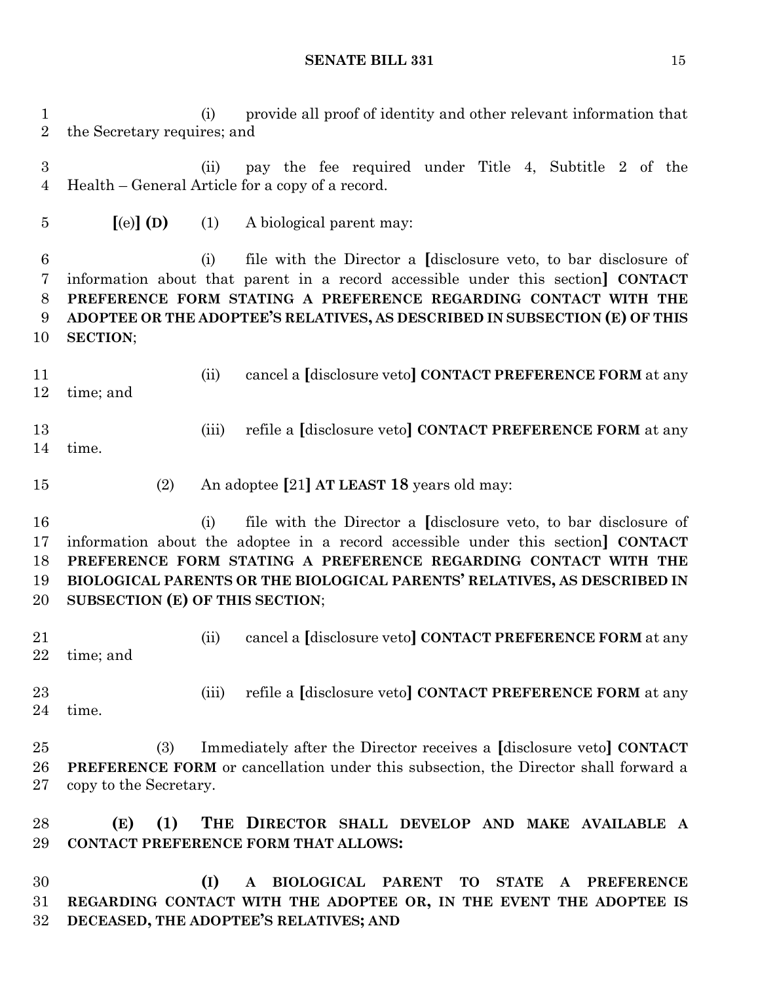(i) provide all proof of identity and other relevant information that the Secretary requires; and (ii) pay the fee required under Title 4, Subtitle 2 of the Health – General Article for a copy of a record. **[**(e)**] (D)** (1) A biological parent may: (i) file with the Director a **[**disclosure veto, to bar disclosure of information about that parent in a record accessible under this section**] CONTACT PREFERENCE FORM STATING A PREFERENCE REGARDING CONTACT WITH THE ADOPTEE OR THE ADOPTEE'S RELATIVES, AS DESCRIBED IN SUBSECTION (E) OF THIS SECTION**; (ii) cancel a **[**disclosure veto**] CONTACT PREFERENCE FORM** at any time; and (iii) refile a **[**disclosure veto**] CONTACT PREFERENCE FORM** at any time. (2) An adoptee **[**21**] AT LEAST 18** years old may: (i) file with the Director a **[**disclosure veto, to bar disclosure of information about the adoptee in a record accessible under this section**] CONTACT PREFERENCE FORM STATING A PREFERENCE REGARDING CONTACT WITH THE BIOLOGICAL PARENTS OR THE BIOLOGICAL PARENTS' RELATIVES, AS DESCRIBED IN SUBSECTION (E) OF THIS SECTION**; (ii) cancel a **[**disclosure veto**] CONTACT PREFERENCE FORM** at any time; and (iii) refile a **[**disclosure veto**] CONTACT PREFERENCE FORM** at any time. (3) Immediately after the Director receives a **[**disclosure veto**] CONTACT PREFERENCE FORM** or cancellation under this subsection, the Director shall forward a copy to the Secretary.

 **(E) (1) THE DIRECTOR SHALL DEVELOP AND MAKE AVAILABLE A CONTACT PREFERENCE FORM THAT ALLOWS:**

 **(I) A BIOLOGICAL PARENT TO STATE A PREFERENCE REGARDING CONTACT WITH THE ADOPTEE OR, IN THE EVENT THE ADOPTEE IS DECEASED, THE ADOPTEE'S RELATIVES; AND**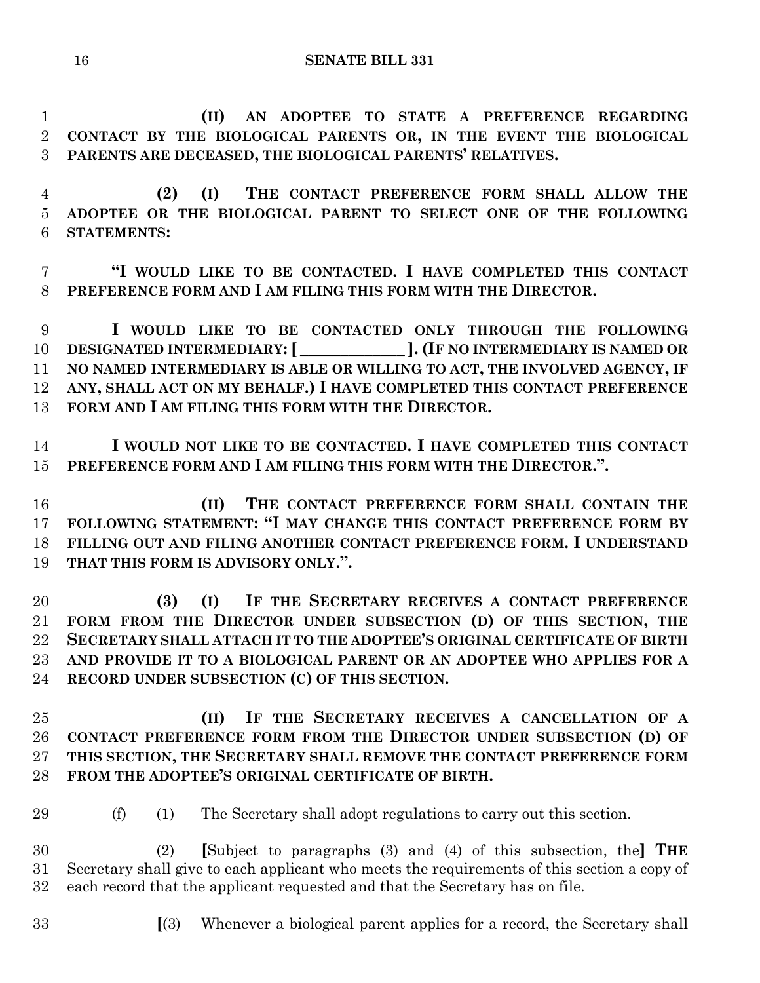**(II) AN ADOPTEE TO STATE A PREFERENCE REGARDING CONTACT BY THE BIOLOGICAL PARENTS OR, IN THE EVENT THE BIOLOGICAL PARENTS ARE DECEASED, THE BIOLOGICAL PARENTS' RELATIVES.**

 **(2) (I) THE CONTACT PREFERENCE FORM SHALL ALLOW THE ADOPTEE OR THE BIOLOGICAL PARENT TO SELECT ONE OF THE FOLLOWING STATEMENTS:**

 **"I WOULD LIKE TO BE CONTACTED. I HAVE COMPLETED THIS CONTACT PREFERENCE FORM AND I AM FILING THIS FORM WITH THE DIRECTOR.**

 **I WOULD LIKE TO BE CONTACTED ONLY THROUGH THE FOLLOWING DESIGNATED INTERMEDIARY:[ \_\_\_\_\_\_\_\_\_\_\_\_\_ ].(IF NO INTERMEDIARY IS NAMED OR NO NAMED INTERMEDIARY IS ABLE OR WILLING TO ACT, THE INVOLVED AGENCY, IF ANY, SHALL ACT ON MY BEHALF.) I HAVE COMPLETED THIS CONTACT PREFERENCE FORM AND I AM FILING THIS FORM WITH THE DIRECTOR.**

 **I WOULD NOT LIKE TO BE CONTACTED. I HAVE COMPLETED THIS CONTACT PREFERENCE FORM AND I AM FILING THIS FORM WITH THE DIRECTOR.".**

 **(II) THE CONTACT PREFERENCE FORM SHALL CONTAIN THE FOLLOWING STATEMENT: "I MAY CHANGE THIS CONTACT PREFERENCE FORM BY FILLING OUT AND FILING ANOTHER CONTACT PREFERENCE FORM. I UNDERSTAND THAT THIS FORM IS ADVISORY ONLY.".**

 **(3) (I) IF THE SECRETARY RECEIVES A CONTACT PREFERENCE FORM FROM THE DIRECTOR UNDER SUBSECTION (D) OF THIS SECTION, THE SECRETARY SHALL ATTACH IT TO THE ADOPTEE'S ORIGINAL CERTIFICATE OF BIRTH AND PROVIDE IT TO A BIOLOGICAL PARENT OR AN ADOPTEE WHO APPLIES FOR A RECORD UNDER SUBSECTION (C) OF THIS SECTION.**

 **(II) IF THE SECRETARY RECEIVES A CANCELLATION OF A CONTACT PREFERENCE FORM FROM THE DIRECTOR UNDER SUBSECTION (D) OF THIS SECTION, THE SECRETARY SHALL REMOVE THE CONTACT PREFERENCE FORM FROM THE ADOPTEE'S ORIGINAL CERTIFICATE OF BIRTH.**

(f) (1) The Secretary shall adopt regulations to carry out this section.

 (2) **[**Subject to paragraphs (3) and (4) of this subsection, the**] THE** Secretary shall give to each applicant who meets the requirements of this section a copy of each record that the applicant requested and that the Secretary has on file.

- 
- **[**(3) Whenever a biological parent applies for a record, the Secretary shall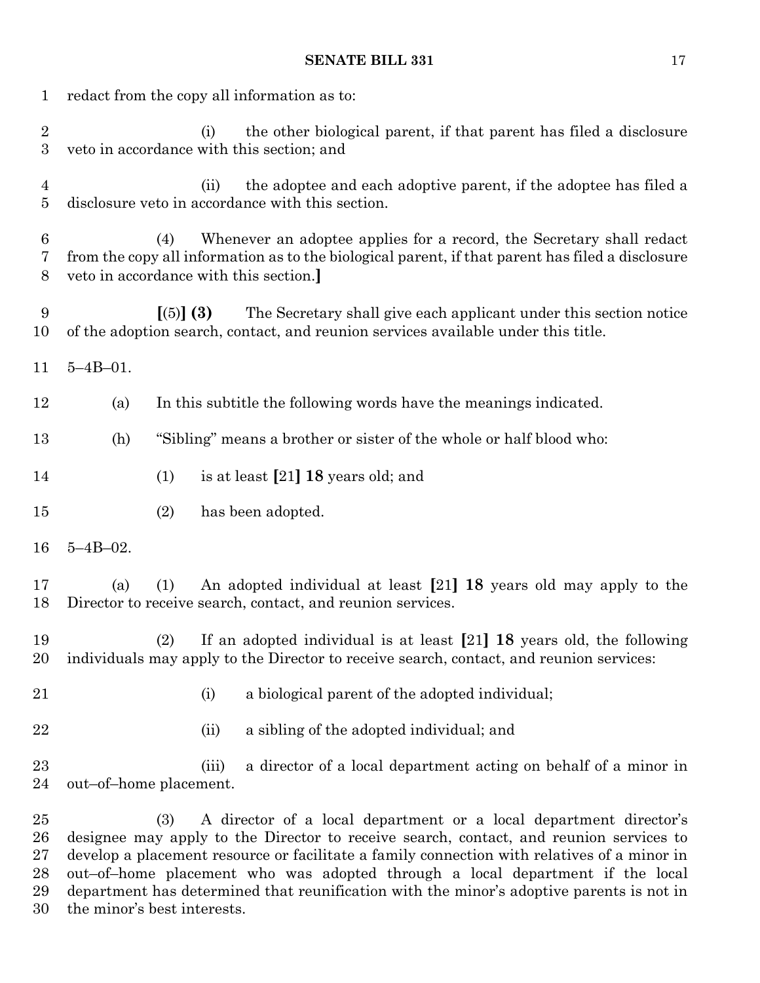| $\mathbf 1$                        | redact from the copy all information as to: |           |       |                                                                                                                                                                                                                                                                                                                                             |  |  |
|------------------------------------|---------------------------------------------|-----------|-------|---------------------------------------------------------------------------------------------------------------------------------------------------------------------------------------------------------------------------------------------------------------------------------------------------------------------------------------------|--|--|
| $\overline{2}$<br>$\boldsymbol{3}$ |                                             |           | (i)   | the other biological parent, if that parent has filed a disclosure<br>veto in accordance with this section; and                                                                                                                                                                                                                             |  |  |
| 4<br>$\overline{5}$                |                                             |           | (ii)  | the adoptee and each adoptive parent, if the adoptee has filed a<br>disclosure veto in accordance with this section.                                                                                                                                                                                                                        |  |  |
| 6<br>7<br>8                        |                                             | (4)       |       | Whenever an adoptee applies for a record, the Secretary shall redact<br>from the copy all information as to the biological parent, if that parent has filed a disclosure<br>veto in accordance with this section.                                                                                                                           |  |  |
| 9<br>10                            |                                             | [(5)] (3) |       | The Secretary shall give each applicant under this section notice<br>of the adoption search, contact, and reunion services available under this title.                                                                                                                                                                                      |  |  |
| 11                                 | $5 - 4B - 01$ .                             |           |       |                                                                                                                                                                                                                                                                                                                                             |  |  |
| 12                                 | (a)                                         |           |       | In this subtitle the following words have the meanings indicated.                                                                                                                                                                                                                                                                           |  |  |
| 13                                 | (h)                                         |           |       | "Sibling" means a brother or sister of the whole or half blood who:                                                                                                                                                                                                                                                                         |  |  |
| 14                                 |                                             | (1)       |       | is at least $[21]$ 18 years old; and                                                                                                                                                                                                                                                                                                        |  |  |
| 15                                 |                                             | (2)       |       | has been adopted.                                                                                                                                                                                                                                                                                                                           |  |  |
| 16                                 | $5 - 4B - 02$ .                             |           |       |                                                                                                                                                                                                                                                                                                                                             |  |  |
| 17<br>18                           | (a)                                         | (1)       |       | An adopted individual at least [21] 18 years old may apply to the<br>Director to receive search, contact, and reunion services.                                                                                                                                                                                                             |  |  |
| 19<br>20                           |                                             |           |       | (2) If an adopted individual is at least $[21]$ 18 years old, the following<br>individuals may apply to the Director to receive search, contact, and reunion services:                                                                                                                                                                      |  |  |
| 21                                 |                                             |           | (i)   | a biological parent of the adopted individual;                                                                                                                                                                                                                                                                                              |  |  |
| 22                                 |                                             |           | (ii)  | a sibling of the adopted individual; and                                                                                                                                                                                                                                                                                                    |  |  |
| 23<br>24                           | out-of-home placement.                      |           | (iii) | a director of a local department acting on behalf of a minor in                                                                                                                                                                                                                                                                             |  |  |
| 25<br>26<br>27<br>28               |                                             | (3)       |       | A director of a local department or a local department director's<br>designee may apply to the Director to receive search, contact, and reunion services to<br>develop a placement resource or facilitate a family connection with relatives of a minor in<br>out-of-home placement who was adopted through a local department if the local |  |  |

 department has determined that reunification with the minor's adoptive parents is not in the minor's best interests.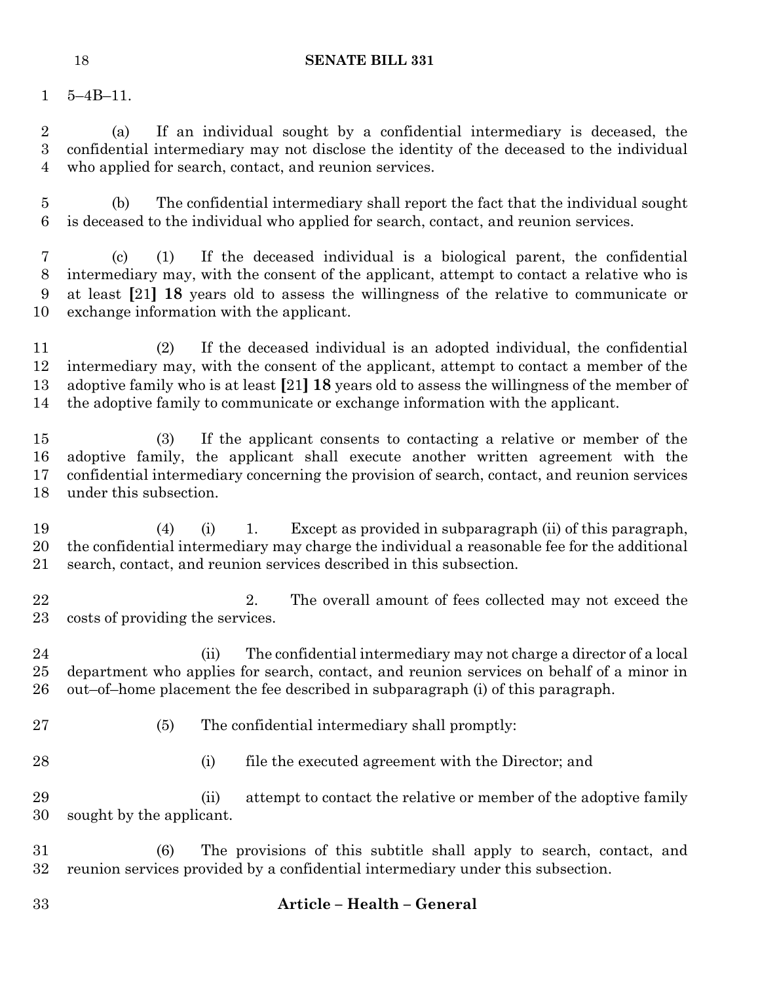5–4B–11.

 (a) If an individual sought by a confidential intermediary is deceased, the confidential intermediary may not disclose the identity of the deceased to the individual who applied for search, contact, and reunion services.

 (b) The confidential intermediary shall report the fact that the individual sought is deceased to the individual who applied for search, contact, and reunion services.

 (c) (1) If the deceased individual is a biological parent, the confidential intermediary may, with the consent of the applicant, attempt to contact a relative who is at least **[**21**] 18** years old to assess the willingness of the relative to communicate or exchange information with the applicant.

 (2) If the deceased individual is an adopted individual, the confidential intermediary may, with the consent of the applicant, attempt to contact a member of the adoptive family who is at least **[**21**] 18** years old to assess the willingness of the member of the adoptive family to communicate or exchange information with the applicant.

 (3) If the applicant consents to contacting a relative or member of the adoptive family, the applicant shall execute another written agreement with the confidential intermediary concerning the provision of search, contact, and reunion services under this subsection.

 (4) (i) 1. Except as provided in subparagraph (ii) of this paragraph, the confidential intermediary may charge the individual a reasonable fee for the additional search, contact, and reunion services described in this subsection.

22 2. The overall amount of fees collected may not exceed the costs of providing the services.

24 (ii) The confidential intermediary may not charge a director of a local department who applies for search, contact, and reunion services on behalf of a minor in out–of–home placement the fee described in subparagraph (i) of this paragraph.

(5) The confidential intermediary shall promptly:

(i) file the executed agreement with the Director; and

 (ii) attempt to contact the relative or member of the adoptive family sought by the applicant.

 (6) The provisions of this subtitle shall apply to search, contact, and reunion services provided by a confidential intermediary under this subsection.

# **Article – Health – General**